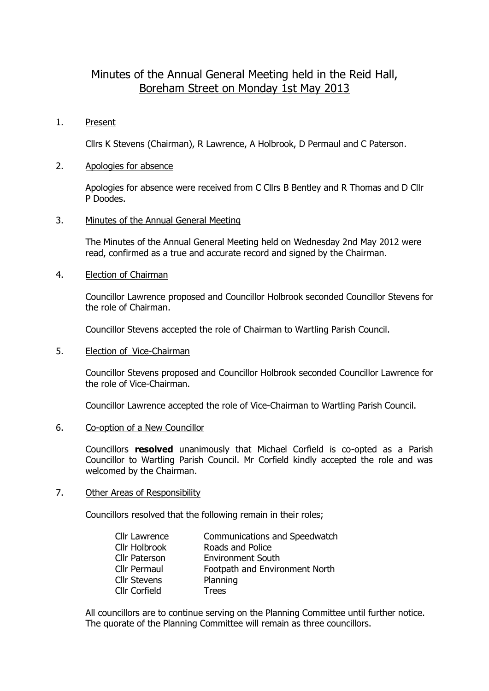# Minutes of the Annual General Meeting held in the Reid Hall, Boreham Street on Monday 1st May 2013

#### 1. Present

Cllrs K Stevens (Chairman), R Lawrence, A Holbrook, D Permaul and C Paterson.

#### 2. Apologies for absence

Apologies for absence were received from C Cllrs B Bentley and R Thomas and D Cllr P Doodes.

#### 3. Minutes of the Annual General Meeting

The Minutes of the Annual General Meeting held on Wednesday 2nd May 2012 were read, confirmed as a true and accurate record and signed by the Chairman.

4. Election of Chairman

Councillor Lawrence proposed and Councillor Holbrook seconded Councillor Stevens for the role of Chairman.

Councillor Stevens accepted the role of Chairman to Wartling Parish Council.

5. Election of Vice-Chairman

Councillor Stevens proposed and Councillor Holbrook seconded Councillor Lawrence for the role of Vice-Chairman.

Councillor Lawrence accepted the role of Vice-Chairman to Wartling Parish Council.

#### 6. Co-option of a New Councillor

Councillors **resolved** unanimously that Michael Corfield is co-opted as a Parish Councillor to Wartling Parish Council. Mr Corfield kindly accepted the role and was welcomed by the Chairman.

#### 7. Other Areas of Responsibility

Councillors resolved that the following remain in their roles;

| Communications and Speedwatch  |
|--------------------------------|
| Roads and Police               |
| <b>Environment South</b>       |
| Footpath and Environment North |
| Planning                       |
| <b>Trees</b>                   |
|                                |

All councillors are to continue serving on the Planning Committee until further notice. The quorate of the Planning Committee will remain as three councillors.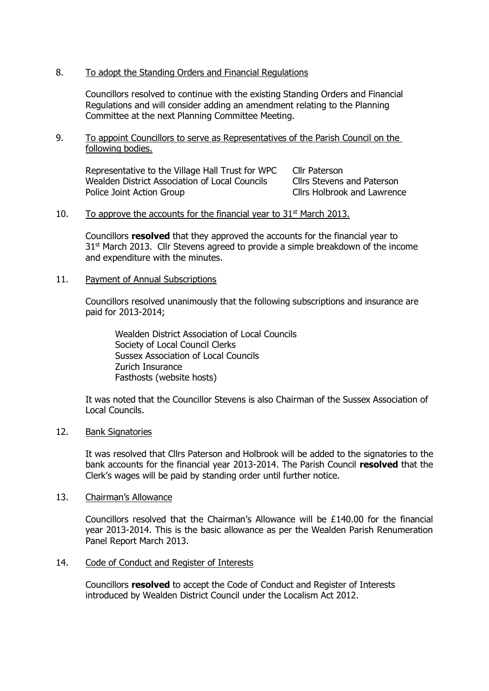## 8. To adopt the Standing Orders and Financial Regulations

Councillors resolved to continue with the existing Standing Orders and Financial Regulations and will consider adding an amendment relating to the Planning Committee at the next Planning Committee Meeting.

9. To appoint Councillors to serve as Representatives of the Parish Council on the following bodies.

Representative to the Village Hall Trust for WPC Cllr Paterson Wealden District Association of Local Councils Cllrs Stevens and Paterson Police Joint Action Group **Clirs Holbrook and Lawrence** 

## 10. To approve the accounts for the financial year to  $31<sup>st</sup>$  March 2013.

Councillors **resolved** that they approved the accounts for the financial year to 31<sup>st</sup> March 2013. Cllr Stevens agreed to provide a simple breakdown of the income and expenditure with the minutes.

## 11. Payment of Annual Subscriptions

Councillors resolved unanimously that the following subscriptions and insurance are paid for 2013-2014;

Wealden District Association of Local Councils Society of Local Council Clerks Sussex Association of Local Councils Zurich Insurance Fasthosts (website hosts)

It was noted that the Councillor Stevens is also Chairman of the Sussex Association of Local Councils.

## 12. Bank Signatories

It was resolved that Cllrs Paterson and Holbrook will be added to the signatories to the bank accounts for the financial year 2013-2014. The Parish Council **resolved** that the Clerk's wages will be paid by standing order until further notice.

## 13. Chairman's Allowance

Councillors resolved that the Chairman's Allowance will be £140.00 for the financial year 2013-2014. This is the basic allowance as per the Wealden Parish Renumeration Panel Report March 2013.

## 14. Code of Conduct and Register of Interests

Councillors **resolved** to accept the Code of Conduct and Register of Interests introduced by Wealden District Council under the Localism Act 2012.